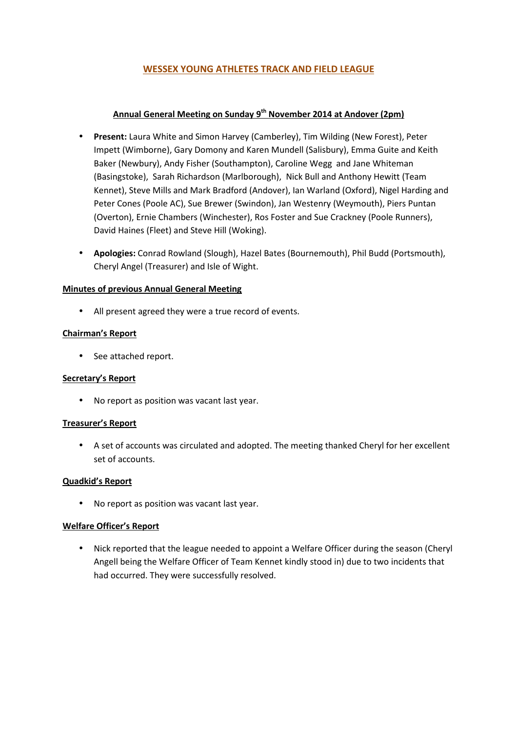# **WESSEX YOUNG ATHLETES TRACK AND FIELD LEAGUE**

## **Annual General Meeting on Sunday 9th November 2014 at Andover (2pm)**

- **Present:** Laura White and Simon Harvey (Camberley), Tim Wilding (New Forest), Peter Impett (Wimborne), Gary Domony and Karen Mundell (Salisbury), Emma Guite and Keith Baker (Newbury), Andy Fisher (Southampton), Caroline Wegg and Jane Whiteman (Basingstoke), Sarah Richardson (Marlborough), Nick Bull and Anthony Hewitt (Team Kennet), Steve Mills and Mark Bradford (Andover), Ian Warland (Oxford), Nigel Harding and Peter Cones (Poole AC), Sue Brewer (Swindon), Jan Westenry (Weymouth), Piers Puntan (Overton), Ernie Chambers (Winchester), Ros Foster and Sue Crackney (Poole Runners), David Haines (Fleet) and Steve Hill (Woking).
- **Apologies:** Conrad Rowland (Slough), Hazel Bates (Bournemouth), Phil Budd (Portsmouth), Cheryl Angel (Treasurer) and Isle of Wight.

## **Minutes of previous Annual General Meeting**

• All present agreed they were a true record of events.

## **Chairman's Report**

• See attached report.

### **Secretary's Report**

• No report as position was vacant last year.

### **Treasurer's Report**

• A set of accounts was circulated and adopted. The meeting thanked Cheryl for her excellent set of accounts.

### **Quadkid's Report**

• No report as position was vacant last year.

### **Welfare Officer's Report**

• Nick reported that the league needed to appoint a Welfare Officer during the season (Cheryl Angell being the Welfare Officer of Team Kennet kindly stood in) due to two incidents that had occurred. They were successfully resolved.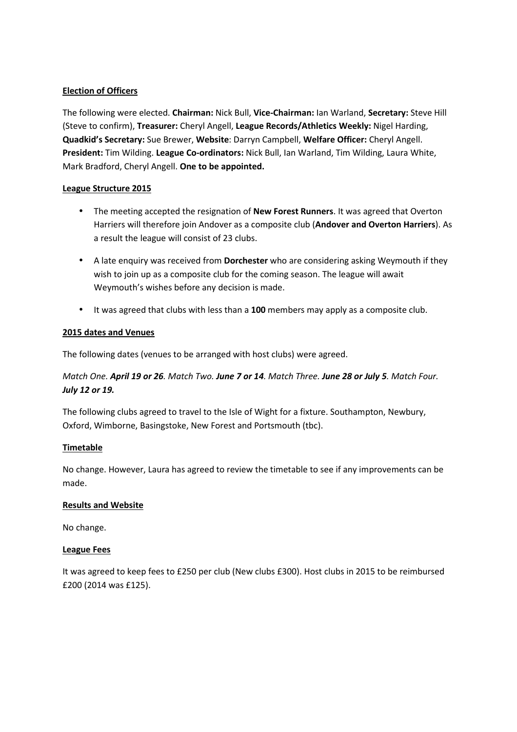## **Election of Officers**

The following were elected. **Chairman:** Nick Bull, **Vice-Chairman:** Ian Warland, **Secretary:** Steve Hill (Steve to confirm), **Treasurer:** Cheryl Angell, **League Records/Athletics Weekly:** Nigel Harding, **Quadkid's Secretary:** Sue Brewer, **Website**: Darryn Campbell, **Welfare Officer:** Cheryl Angell. **President:** Tim Wilding. **League Co-ordinators:** Nick Bull, Ian Warland, Tim Wilding, Laura White, Mark Bradford, Cheryl Angell. **One to be appointed.** 

### **League Structure 2015**

- The meeting accepted the resignation of **New Forest Runners**. It was agreed that Overton Harriers will therefore join Andover as a composite club (**Andover and Overton Harriers**). As a result the league will consist of 23 clubs.
- A late enquiry was received from **Dorchester** who are considering asking Weymouth if they wish to join up as a composite club for the coming season. The league will await Weymouth's wishes before any decision is made.
- It was agreed that clubs with less than a **100** members may apply as a composite club.

## **2015 dates and Venues**

The following dates (venues to be arranged with host clubs) were agreed.

# *Match One. April 19 or 26. Match Two. June 7 or 14. Match Three. June 28 or July 5. Match Four. July 12 or 19.*

The following clubs agreed to travel to the Isle of Wight for a fixture. Southampton, Newbury, Oxford, Wimborne, Basingstoke, New Forest and Portsmouth (tbc).

### **Timetable**

No change. However, Laura has agreed to review the timetable to see if any improvements can be made.

### **Results and Website**

No change.

### **League Fees**

It was agreed to keep fees to £250 per club (New clubs £300). Host clubs in 2015 to be reimbursed £200 (2014 was £125).